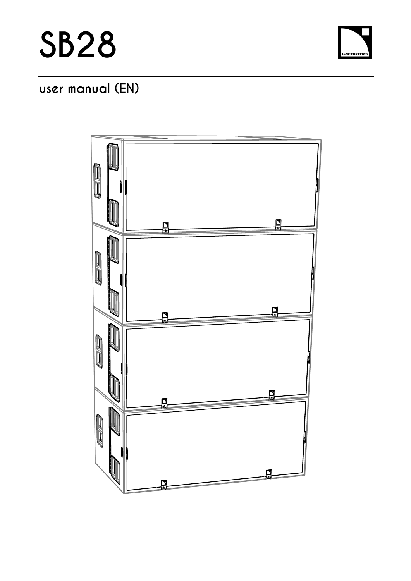

# **user manual (EN)**

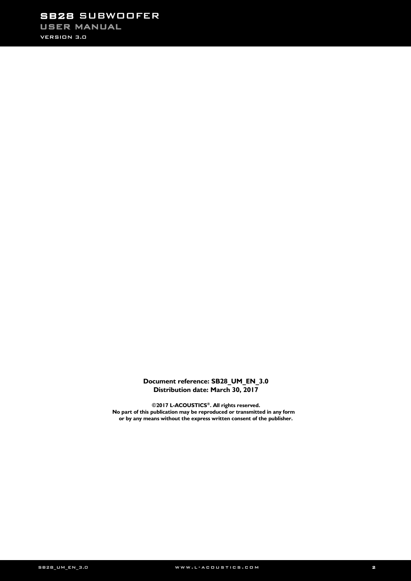# SB28 SUBWOOFER USER MANUAL

VERSION 3.0

### **Document reference: SB28\_UM\_EN\_3.0 Distribution date: March 30, 2017**

**©2017 L-ACOUSTICS®. All rights reserved. No part of this publication may be reproduced or transmitted in any form or by any means without the express written consent of the publisher.**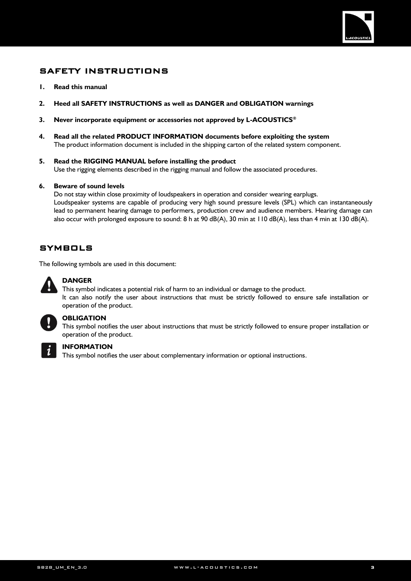

# <span id="page-2-0"></span>SAFETY INSTRUCTIONS

- **1. Read this manual**
- **2. Heed all SAFETY INSTRUCTIONS as well as DANGER and OBLIGATION warnings**
- **3. Never incorporate equipment or accessories not approved by L-ACOUSTICS®**
- **4. Read all the related PRODUCT INFORMATION documents before exploiting the system** The product information document is included in the shipping carton of the related system component.
- **5. Read the RIGGING MANUAL before installing the product** Use the rigging elements described in the rigging manual and follow the associated procedures.

### **6. Beware of sound levels**

Do not stay within close proximity of loudspeakers in operation and consider wearing earplugs. Loudspeaker systems are capable of producing very high sound pressure levels (SPL) which can instantaneously lead to permanent hearing damage to performers, production crew and audience members. Hearing damage can also occur with prolonged exposure to sound: 8 h at 90 dB(A), 30 min at 110 dB(A), less than 4 min at 130 dB(A).

## <span id="page-2-1"></span>**SYMBOLS**

The following symbols are used in this document:



### **DANGER**

This symbol indicates a potential risk of harm to an individual or damage to the product. It can also notify the user about instructions that must be strictly followed to ensure safe installation or operation of the product.



## **OBLIGATION**

This symbol notifies the user about instructions that must be strictly followed to ensure proper installation or operation of the product.



### **INFORMATION**

This symbol notifies the user about complementary information or optional instructions.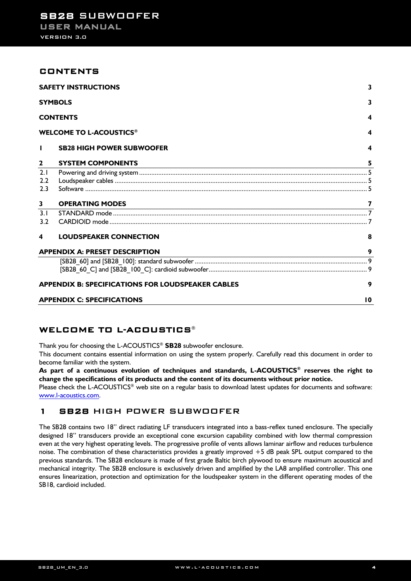### <span id="page-3-0"></span>CONTENTS

|              | <b>SAFETY INSTRUCTIONS</b>                               | 3  |
|--------------|----------------------------------------------------------|----|
|              | <b>SYMBOLS</b>                                           | 3  |
|              | <b>CONTENTS</b>                                          | 4  |
|              | <b>WELCOME TO L-ACOUSTICS®</b>                           | 4  |
| $\mathbf{I}$ | <b>SB28 HIGH POWER SUBWOOFER</b>                         | 4  |
| $\mathbf{2}$ | <b>SYSTEM COMPONENTS</b>                                 | 5  |
| 2.1          |                                                          |    |
| 2.2          |                                                          |    |
| 2.3          |                                                          |    |
| 3            | <b>OPERATING MODES</b>                                   |    |
| 3.1          |                                                          |    |
| 3.2          |                                                          |    |
| 4            | <b>LOUDSPEAKER CONNECTION</b>                            | 8  |
|              | <b>APPENDIX A: PRESET DESCRIPTION</b>                    | 9  |
|              |                                                          |    |
|              |                                                          |    |
|              | <b>APPENDIX B: SPECIFICATIONS FOR LOUDSPEAKER CABLES</b> | 9  |
|              | <b>APPENDIX C: SPECIFICATIONS</b>                        | 10 |

# <span id="page-3-1"></span>WELCOME TO L-ACOUSTICS®

Thank you for choosing the L-ACOUSTICS® **SB28** subwoofer enclosure.

This document contains essential information on using the system properly. Carefully read this document in order to become familiar with the system.

**As part of a continuous evolution of techniques and standards, L-ACOUSTICS® reserves the right to change the specifications of its products and the content of its documents without prior notice.**

Please check the L-ACOUSTICS® web site on a regular basis to download latest updates for documents and software: [www.l-acoustics.com.](http://www.l-acoustics.com/arcsII)

### <span id="page-3-2"></span>1 SB28 HIGH POWER SUBWOOFER

The SB28 contains two 18'' direct radiating LF transducers integrated into a bass-reflex tuned enclosure. The specially designed 18'' transducers provide an exceptional cone excursion capability combined with low thermal compression even at the very highest operating levels. The progressive profile of vents allows laminar airflow and reduces turbulence noise. The combination of these characteristics provides a greatly improved +5 dB peak SPL output compared to the previous standards. The SB28 enclosure is made of first grade Baltic birch plywood to ensure maximum acoustical and mechanical integrity. The SB28 enclosure is exclusively driven and amplified by the LA8 amplified controller. This one ensures linearization, protection and optimization for the loudspeaker system in the different operating modes of the SB18, cardioid included.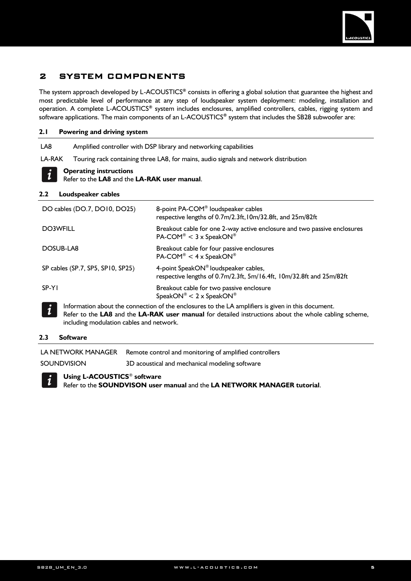

# <span id="page-4-0"></span>2 SYSTEM COMPONENTS

The system approach developed by L-ACOUSTICS**®** consists in offering a global solution that guarantee the highest and most predictable level of performance at any step of loudspeaker system deployment: modeling, installation and operation. A complete L-ACOUSTICS**®** system includes enclosures, amplified controllers, cables, rigging system and software applications. The main components of an L-ACOUSTICS**®** system that includes the SB28 subwoofer are:

### <span id="page-4-1"></span>**2.1 Powering and driving system**

LA8 Amplified controller with DSP library and networking capabilities

LA-RAK Touring rack containing three LA8, for mains, audio signals and network distribution



Refer to the **LA8** and the **LA-RAK user manual**.

### <span id="page-4-2"></span>**2.2 Loudspeaker cables**

| DO cables (DO.7, DO10, DO25)             | 8-point PA-COM® loudspeaker cables<br>respective lengths of 0.7m/2.3ft, 10m/32.8ft, and 25m/82ft                                                                                                            |  |  |  |  |
|------------------------------------------|-------------------------------------------------------------------------------------------------------------------------------------------------------------------------------------------------------------|--|--|--|--|
| <b>DO3WFILL</b>                          | Breakout cable for one 2-way active enclosure and two passive enclosures<br>$PA$ -COM® < 3 x SpeakON®                                                                                                       |  |  |  |  |
| DOSUB-LA8                                | Breakout cable for four passive enclosures<br>$PA$ -COM® < 4 x SpeakON®                                                                                                                                     |  |  |  |  |
| SP cables (SP.7, SP5, SP10, SP25)        | 4-point SpeakON® loudspeaker cables,<br>respective lengths of 0.7m/2.3ft, 5m/16.4ft, 10m/32.8ft and 25m/82ft                                                                                                |  |  |  |  |
| SP-YI                                    | Breakout cable for two passive enclosure<br>SpeakON® < $2 \times$ SpeakON®                                                                                                                                  |  |  |  |  |
| including modulation cables and network. | Information about the connection of the enclosures to the LA amplifiers is given in this document.<br>Refer to the LA8 and the LA-RAK user manual for detailed instructions about the whole cabling scheme, |  |  |  |  |

### <span id="page-4-3"></span>**2.3 Software**

LA NETWORK MANAGER Remote control and monitoring of amplified controllers

SOUNDVISION 3D acoustical and mechanical modeling software

### **Using L-ACOUSTICS**® **software**

Refer to the **SOUNDVISON user manual** and the **LA NETWORK MANAGER tutorial**.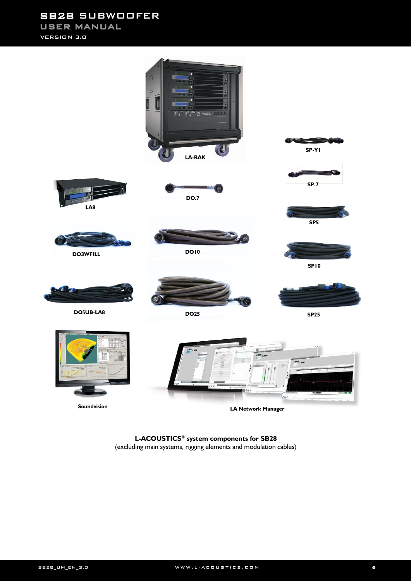SB28 SUBWOOFER USER MANUAL

VERSION 3.0



**L-ACOUSTICS**® **system components for SB28**  (excluding main systems, rigging elements and modulation cables)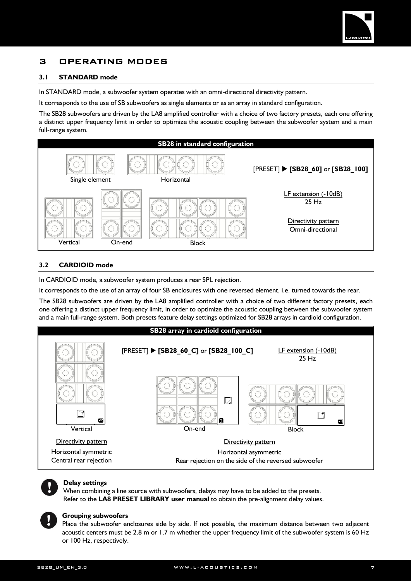

# <span id="page-6-0"></span>3 OPERATING MODES

### <span id="page-6-1"></span>**3.1 STANDARD mode**

In STANDARD mode, a subwoofer system operates with an omni-directional directivity pattern.

It corresponds to the use of SB subwoofers as single elements or as an array in standard configuration.

The SB28 subwoofers are driven by the LA8 amplified controller with a choice of two factory presets, each one offering a distinct upper frequency limit in order to optimize the acoustic coupling between the subwoofer system and a main full-range system.



### <span id="page-6-2"></span>**3.2 CARDIOID mode**

In CARDIOID mode, a subwoofer system produces a rear SPL rejection.

It corresponds to the use of an array of four SB enclosures with one reversed element, i.e. turned towards the rear.

The SB28 subwoofers are driven by the LA8 amplified controller with a choice of two different factory presets, each one offering a distinct upper frequency limit, in order to optimize the acoustic coupling between the subwoofer system and a main full-range system. Both presets feature delay settings optimized for SB28 arrays in cardioid configuration.





#### **Delay settings**

When combining a line source with subwoofers, delays may have to be added to the presets. Refer to the **LA8 PRESET LIBRARY user manual** to obtain the pre-alignment delay values.



### **Grouping subwoofers**

Place the subwoofer enclosures side by side. If not possible, the maximum distance between two adjacent acoustic centers must be 2.8 m or 1.7 m whether the upper frequency limit of the subwoofer system is 60 Hz or 100 Hz, respectively.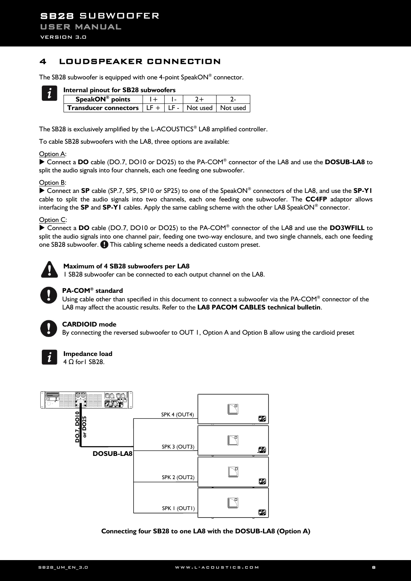# <span id="page-7-0"></span>4 LOUDSPEAKER CONNECTION

The SB28 subwoofer is equipped with one 4-point SpeakON® connector.



### **Internal pinout for SB28 subwoofers**

| SpeakON® points                                                    |  |  |
|--------------------------------------------------------------------|--|--|
| <b>Transducer connectors</b> $  LF +   LF -   Not used   Not used$ |  |  |

The SB28 is exclusively amplified by the L-ACOUSTICS® LA8 amplified controller.

To cable SB28 subwoofers with the LA8, three options are available:

#### Option A:

▶ Connect a **DO** cable (DO.7, DO10 or DO25) to the PA-COM<sup>®</sup> connector of the LA8 and use the **DOSUB-LA8** to split the audio signals into four channels, each one feeding one subwoofer.

#### Option B:

 Connect an **SP** cable (SP.7, SP5, SP10 or SP25) to one of the SpeakON® connectors of the LA8, and use the **SP-Y1** cable to split the audio signals into two channels, each one feeding one subwoofer. The **CC4FP** adaptor allows interfacing the **SP** and **SP-Y1** cables. Apply the same cabling scheme with the other LA8 SpeakON® connector.

#### Option C:

▶ Connect a **DO** cable (DO.7, DO10 or DO25) to the PA-COM<sup>®</sup> connector of the LA8 and use the DO3WFILL to split the audio signals into one channel pair, feeding one two-way enclosure, and two single channels, each one feeding one SB28 subwoofer.  $\bigoplus$  This cabling scheme needs a dedicated custom preset.



#### **Maximum of 4 SB28 subwoofers per LA8**

1 SB28 subwoofer can be connected to each output channel on the LA8.



#### **PA-COM® standard**

Using cable other than specified in this document to connect a subwoofer via the PA-COM® connector of the LA8 may affect the acoustic results. Refer to the **LA8 PACOM CABLES technical bulletin**.



### **CARDIOID mode**

By connecting the reversed subwoofer to OUT 1, Option A and Option B allow using the cardioid preset



### **Impedance load**

4 Ω for1 SB28.



**Connecting four SB28 to one LA8 with the DOSUB-LA8 (Option A)**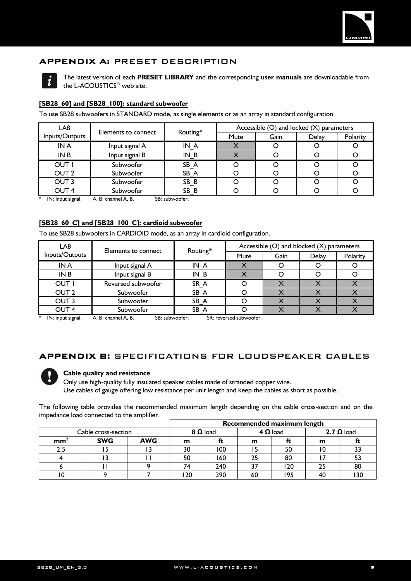

# <span id="page-8-0"></span>APPENDIX A: PRESET DESCRIPTION



The latest version of each **PRESET LIBRARY** and the corresponding **user manuals** are downloadable from the L-ACOUSTICS® web site.

### <span id="page-8-1"></span>**[SB28\_60] and [SB28\_100]: standard subwoofer**

To use SB28 subwoofers in STANDARD mode, as single elements or as an array in standard configuration.

| LA8              |                     | Routing* | Accessible (O) and locked (X) parameters |      |       |          |  |
|------------------|---------------------|----------|------------------------------------------|------|-------|----------|--|
| Inputs/Outputs   | Elements to connect |          | Mute                                     | Gain | Delay | Polarity |  |
| IN A             | Input signal A      | IN A     |                                          |      |       |          |  |
| IN B             | Input signal B      | $IN_B$   |                                          |      |       |          |  |
| OUT I            | Subwoofer           | SB A     |                                          |      |       |          |  |
| OUT <sub>2</sub> | Subwoofer           | SB A     |                                          |      |       |          |  |
| OUT <sub>3</sub> | Subwoofer           | SB B     |                                          |      |       |          |  |
| OUT <sub>4</sub> | Subwoofer           | SB B     |                                          |      |       |          |  |

 $*$  IN: input signal. A, B: channel A, B. SB: subwoofer.

### <span id="page-8-2"></span>**[SB28\_60\_C] and [SB28\_100\_C]: cardioid subwoofer**

To use SB28 subwoofers in CARDIOID mode, as an array in cardioid configuration.

| LA8              | Elements to connect | Routing* | Accessible (O) and blocked (X) parameters |      |              |          |  |
|------------------|---------------------|----------|-------------------------------------------|------|--------------|----------|--|
| Inputs/Outputs   |                     |          | <b>Mute</b>                               | Gain | <b>Delay</b> | Polarity |  |
| IN A             | Input signal A      | IN A     |                                           |      |              |          |  |
| IN B             | Input signal B      | IN B     |                                           |      |              |          |  |
| OUT I            | Reversed subwoofer  | SR A     |                                           |      |              |          |  |
| OUT <sub>2</sub> | Subwoofer           | SB A     |                                           |      |              |          |  |
| OUT <sub>3</sub> | Subwoofer           | SB A     |                                           |      |              |          |  |
| OUT <sub>4</sub> | Subwoofer           | SB A     |                                           |      |              |          |  |

 $*$  IN: input signal. A, B: channel A, B. SB: subwoofer. SR: reversed subwoofer.

### <span id="page-8-3"></span>APPENDIX B: SPECIFICATIONS FOR LOUDSPEAKER CABLES



### **Cable quality and resistance**

Only use high-quality fully insulated speaker cables made of stranded copper wire. Use cables of gauge offering low resistance per unit length and keep the cables as short as possible.

The following table provides the recommended maximum length depending on the cable cross-section and on the impedance load connected to the amplifier.

|                     |            |            | Recommended maximum length |     |                 |     |                   |    |
|---------------------|------------|------------|----------------------------|-----|-----------------|-----|-------------------|----|
| Cable cross-section |            |            | $8 \Omega$ load            |     | $4 \Omega$ load |     | 2.7 $\Omega$ load |    |
| mm <sup>-</sup>     | <b>SWG</b> | <b>AWG</b> | m                          | π   | m               |     | m                 |    |
|                     |            |            | 30                         | 100 |                 | 50  |                   |    |
|                     |            |            | 50                         | 160 | 25              | 80  |                   |    |
|                     |            |            |                            | 240 |                 | 20  |                   | 80 |
|                     |            |            | ' 20                       | 390 | 60              | '95 |                   |    |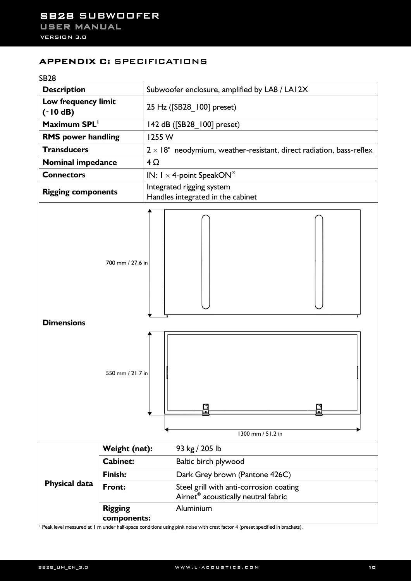# <span id="page-9-0"></span>APPENDIX C: SPECIFICATIONS



<sup>1</sup> Peak level measured at 1 m under half-space conditions using pink noise with crest factor 4 (preset specified in brackets).